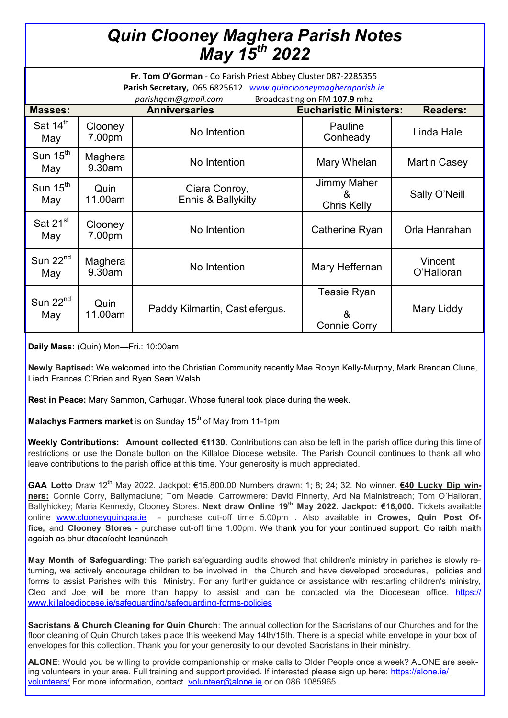## *Quin Clooney Maghera Parish Notes May 15th 2022*

| Fr. Tom O'Gorman - Co Parish Priest Abbey Cluster 087-2285355<br>Parish Secretary, 065 6825612 www.quinclooneymagheraparish.ie<br>parishqcm@gmail.com<br>Broadcasting on FM 107.9 mhz |                   |                                     |                                         |                       |
|---------------------------------------------------------------------------------------------------------------------------------------------------------------------------------------|-------------------|-------------------------------------|-----------------------------------------|-----------------------|
| <b>Masses:</b>                                                                                                                                                                        |                   | <b>Anniversaries</b>                | <b>Eucharistic Ministers:</b>           | <b>Readers:</b>       |
| Sat $14^{\text{th}}$<br>May                                                                                                                                                           | Clooney<br>7.00pm | No Intention                        | Pauline<br>Conheady                     | Linda Hale            |
| Sun $15th$<br>May                                                                                                                                                                     | Maghera<br>9.30am | No Intention                        | Mary Whelan                             | Martin Casey          |
| Sun $15th$<br>May                                                                                                                                                                     | Quin<br>11.00am   | Ciara Conroy,<br>Ennis & Ballykilty | Jimmy Maher<br>&<br><b>Chris Kelly</b>  | Sally O'Neill         |
| Sat $21^{st}$<br>May                                                                                                                                                                  | Clooney<br>7.00pm | No Intention                        | Catherine Ryan                          | Orla Hanrahan         |
| Sun $22nd$<br>May                                                                                                                                                                     | Maghera<br>9.30am | No Intention                        | Mary Heffernan                          | Vincent<br>O'Halloran |
| Sun $22nd$<br>May                                                                                                                                                                     | Quin<br>11.00am   | Paddy Kilmartin, Castlefergus.      | Teasie Ryan<br>&<br><b>Connie Corry</b> | Mary Liddy            |

**Daily Mass:** (Quin) Mon—Fri.: 10:00am

**Newly Baptised:** We welcomed into the Christian Community recently Mae Robyn Kelly-Murphy, Mark Brendan Clune, Liadh Frances O'Brien and Ryan Sean Walsh.

**Rest in Peace:** Mary Sammon, Carhugar. Whose funeral took place during the week.

**Malachys Farmers market** is on Sunday 15<sup>th</sup> of May from 11-1pm

**Weekly Contributions: Amount collected €1130.** Contributions can also be left in the parish office during this time of restrictions or use the Donate button on the Killaloe Diocese website. The Parish Council continues to thank all who leave contributions to the parish office at this time. Your generosity is much appreciated.

**GAA Lotto** Draw 12<sup>th</sup> May 2022. Jackpot: €15,800.00 Numbers drawn: 1; 8; 24; 32. No winner. **€40 Lucky Dip winners:** Connie Corry, Ballymaclune; Tom Meade, Carrowmere: David Finnerty, Ard Na Mainistreach; Tom O'Halloran, Ballyhickey; Maria Kennedy, Clooney Stores. **Next draw Online 19th May 2022. Jackpot: €16,000.** Tickets available online [www.clooneyquingaa.ie](http://www.clooneyquingaa.ie/) - purchase cut-off time 5.00pm . Also available in **Crowes, Quin Post Office,** and **Clooney Stores** - purchase cut-off time 1.00pm. We thank you for your continued support. Go raibh maith agaibh as bhur dtacaíocht leanúnach

**May Month of Safeguarding**: The parish safeguarding audits showed that children's ministry in parishes is slowly returning, we actively encourage children to be involved in the Church and have developed procedures, policies and forms to assist Parishes with this Ministry. For any further guidance or assistance with restarting children's ministry, Cleo and Joe will be more than happy to assist and can be contacted via the Diocesean office. [https://](https://www.killaloediocese.ie/safeguarding/safeguarding-forms-policies) [www.killaloediocese.ie/safeguarding/safeguarding](https://www.killaloediocese.ie/safeguarding/safeguarding-forms-policies)-forms-policies

**Sacristans & Church Cleaning for Quin Church**: The annual collection for the Sacristans of our Churches and for the floor cleaning of Quin Church takes place this weekend May 14th/15th. There is a special white envelope in your box of envelopes for this collection. Thank you for your generosity to our devoted Sacristans in their ministry.

**ALONE**: Would you be willing to provide companionship or make calls to Older People once a week? ALONE are seeking volunteers in your area. Full training and support provided. If interested please sign up here: [https://alone.ie/](https://alone.ie/volunteers/) [volunteers/](https://alone.ie/volunteers/) For more information, contact [volunteer@alone.ie](mailto:volunteer@alone.ie) or on 086 1085965.